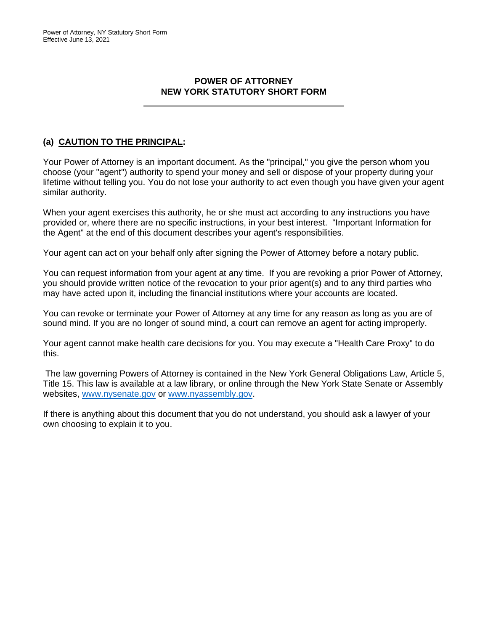#### **POWER OF ATTORNEY NEW YORK STATUTORY SHORT FORM**

### **(a) CAUTION TO THE PRINCIPAL:**

Your Power of Attorney is an important document. As the "principal," you give the person whom you choose (your "agent") authority to spend your money and sell or dispose of your property during your lifetime without telling you. You do not lose your authority to act even though you have given your agent similar authority.

When your agent exercises this authority, he or she must act according to any instructions you have provided or, where there are no specific instructions, in your best interest. "Important Information for the Agent" at the end of this document describes your agent's responsibilities.

Your agent can act on your behalf only after signing the Power of Attorney before a notary public.

You can request information from your agent at any time. If you are revoking a prior Power of Attorney, you should provide written notice of the revocation to your prior agent(s) and to any third parties who may have acted upon it, including the financial institutions where your accounts are located.

You can revoke or terminate your Power of Attorney at any time for any reason as long as you are of sound mind. If you are no longer of sound mind, a court can remove an agent for acting improperly.

Your agent cannot make health care decisions for you. You may execute a "Health Care Proxy" to do this.

 The law governing Powers of Attorney is contained in the New York General Obligations Law, Article 5, Title 15. This law is available at a law library, or online through the New York State Senate or Assembly websites, [www.nysenate.gov](http://www.nysenate.gov/) or [www.nyassembly.gov.](http://www.nyassembly.gov/)

If there is anything about this document that you do not understand, you should ask a lawyer of your own choosing to explain it to you.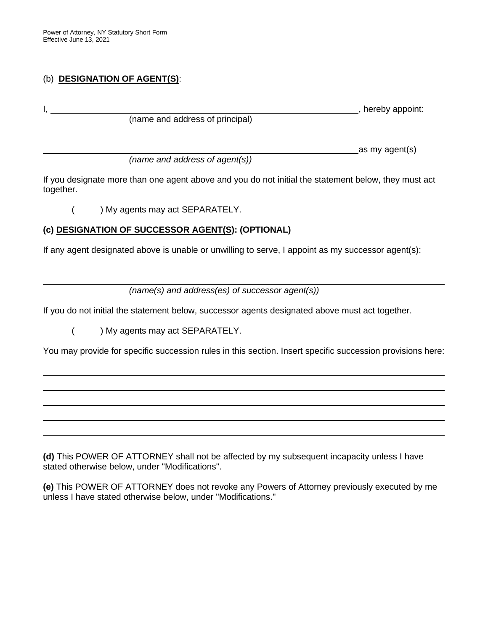### (b) **DESIGNATION OF AGENT(S)**:

I,  $\frac{1}{2}$  , hereby appoint:

(name and address of principal)

as my agent(s)

*(name and address of agent(s))* 

If you designate more than one agent above and you do not initial the statement below, they must act together.

( ) My agents may act SEPARATELY.

## **(c) DESIGNATION OF SUCCESSOR AGENT(S): (OPTIONAL)**

If any agent designated above is unable or unwilling to serve, I appoint as my successor agent(s):

*(name(s) and address(es) of successor agent(s))* 

If you do not initial the statement below, successor agents designated above must act together.

( ) My agents may act SEPARATELY.

You may provide for specific succession rules in this section. Insert specific succession provisions here:

**(d)** This POWER OF ATTORNEY shall not be affected by my subsequent incapacity unless I have stated otherwise below, under "Modifications".

**(e)** This POWER OF ATTORNEY does not revoke any Powers of Attorney previously executed by me unless I have stated otherwise below, under "Modifications."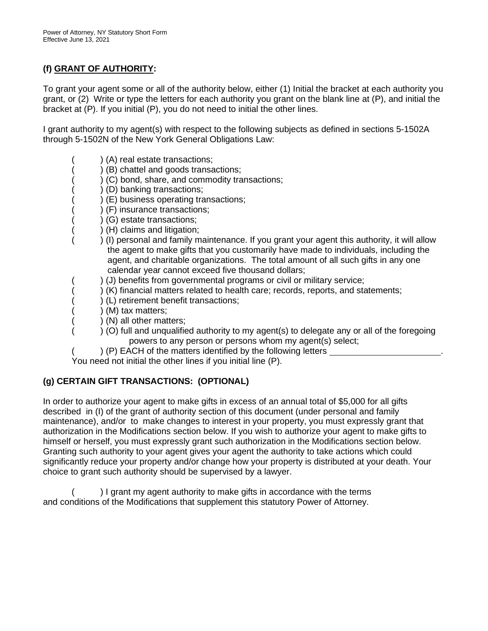# **(f) GRANT OF AUTHORITY:**

To grant your agent some or all of the authority below, either (1) Initial the bracket at each authority you grant, or (2) Write or type the letters for each authority you grant on the blank line at (P), and initial the bracket at (P). If you initial (P), you do not need to initial the other lines.

I grant authority to my agent(s) with respect to the following subjects as defined in sections 5-1502A through 5-1502N of the New York General Obligations Law:

- ( ) (A) real estate transactions;
	- ( ) (B) chattel and goods transactions;
	- ( ) (C) bond, share, and commodity transactions;
	- ( ) (D) banking transactions;
	- ( ) (E) business operating transactions;
	- ( ) (F) insurance transactions;
	- ( ) (G) estate transactions;
	- ( ) (H) claims and litigation;
- ( ) (I) personal and family maintenance. If you grant your agent this authority, it will allow the agent to make gifts that you customarily have made to individuals, including the agent, and charitable organizations. The total amount of all such gifts in any one calendar year cannot exceed five thousand dollars;
- ( ) (J) benefits from governmental programs or civil or military service;
	- ( ) (K) financial matters related to health care; records, reports, and statements;
	- ( ) (L) retirement benefit transactions;
- ( ) (M) tax matters;
- ( ) (N) all other matters;
	- ( ) (O) full and unqualified authority to my agent(s) to delegate any or all of the foregoing powers to any person or persons whom my agent(s) select;
- (P) EACH of the matters identified by the following letters \_\_\_\_\_\_

You need not initial the other lines if you initial line (P).

### **(g) CERTAIN GIFT TRANSACTIONS: (OPTIONAL)**

In order to authorize your agent to make gifts in excess of an annual total of \$5,000 for all gifts described in (I) of the grant of authority section of this document (under personal and family maintenance), and/or to make changes to interest in your property, you must expressly grant that authorization in the Modifications section below. If you wish to authorize your agent to make gifts to himself or herself, you must expressly grant such authorization in the Modifications section below. Granting such authority to your agent gives your agent the authority to take actions which could significantly reduce your property and/or change how your property is distributed at your death. Your choice to grant such authority should be supervised by a lawyer.

( ) I grant my agent authority to make gifts in accordance with the terms and conditions of the Modifications that supplement this statutory Power of Attorney.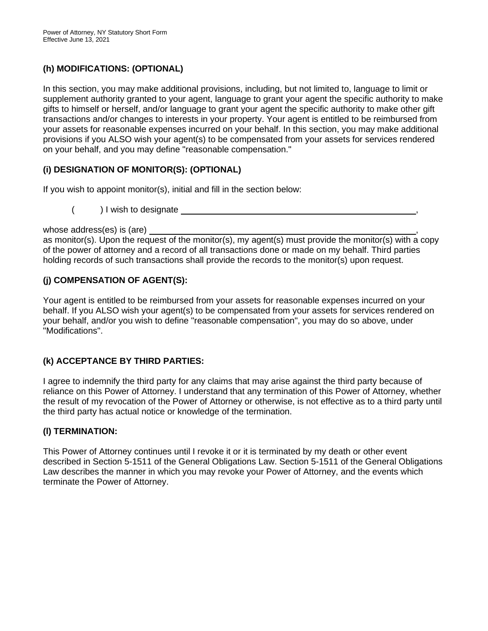# **(h) MODIFICATIONS: (OPTIONAL)**

In this section, you may make additional provisions, including, but not limited to, language to limit or supplement authority granted to your agent, language to grant your agent the specific authority to make gifts to himself or herself, and/or language to grant your agent the specific authority to make other gift transactions and/or changes to interests in your property. Your agent is entitled to be reimbursed from your assets for reasonable expenses incurred on your behalf. In this section, you may make additional provisions if you ALSO wish your agent(s) to be compensated from your assets for services rendered on your behalf, and you may define "reasonable compensation."

## **(i) DESIGNATION OF MONITOR(S): (OPTIONAL)**

If you wish to appoint monitor(s), initial and fill in the section below:

 $($  ) I wish to designate  $\sqrt{ }$ 

whose address(es) is (are)

as monitor(s). Upon the request of the monitor(s), my agent(s) must provide the monitor(s) with a copy of the power of attorney and a record of all transactions done or made on my behalf. Third parties holding records of such transactions shall provide the records to the monitor(s) upon request.

### **(j) COMPENSATION OF AGENT(S):**

Your agent is entitled to be reimbursed from your assets for reasonable expenses incurred on your behalf. If you ALSO wish your agent(s) to be compensated from your assets for services rendered on your behalf, and/or you wish to define "reasonable compensation", you may do so above, under "Modifications".

### **(k) ACCEPTANCE BY THIRD PARTIES:**

I agree to indemnify the third party for any claims that may arise against the third party because of reliance on this Power of Attorney. I understand that any termination of this Power of Attorney, whether the result of my revocation of the Power of Attorney or otherwise, is not effective as to a third party until the third party has actual notice or knowledge of the termination.

### **(l) TERMINATION:**

This Power of Attorney continues until I revoke it or it is terminated by my death or other event described in Section 5-1511 of the General Obligations Law. Section 5-1511 of the General Obligations Law describes the manner in which you may revoke your Power of Attorney, and the events which terminate the Power of Attorney.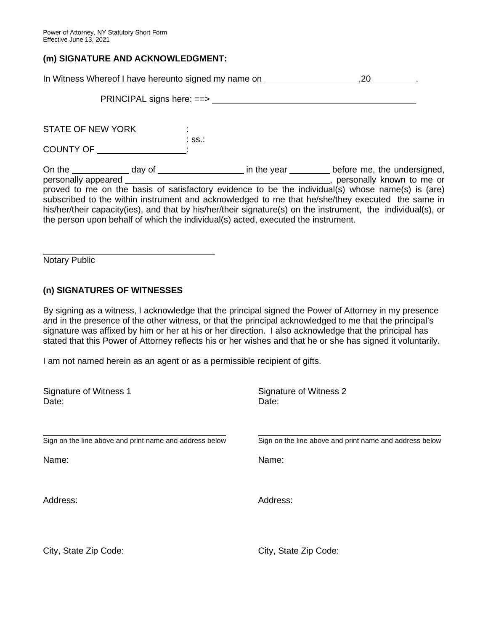### **(m) SIGNATURE AND ACKNOWLEDGMENT:**

| In Witness Whereof I have hereunto signed my name on                                                                                  |                                                                                                                |             | .20                                                      |
|---------------------------------------------------------------------------------------------------------------------------------------|----------------------------------------------------------------------------------------------------------------|-------------|----------------------------------------------------------|
|                                                                                                                                       | PRINCIPAL signs here: ==>                                                                                      |             |                                                          |
| STATE OF NEW YORK                                                                                                                     |                                                                                                                |             |                                                          |
| <b>COUNTY OF</b>                                                                                                                      | $:$ SS $\ddots$                                                                                                |             |                                                          |
| On the state of the state of the state of the state of the state of the state of the state of the state of the<br>porconally appeared | day of the control of the control of the control of the control of the control of the control of the control o | in the year | before me, the undersigned,<br>parcopally known to mo or |

personally appeared , personally known to me or proved to me on the basis of satisfactory evidence to be the individual(s) whose name(s) is (are) subscribed to the within instrument and acknowledged to me that he/she/they executed the same in his/her/their capacity(ies), and that by his/her/their signature(s) on the instrument, the individual(s), or the person upon behalf of which the individual(s) acted, executed the instrument.

Notary Public

#### **(n) SIGNATURES OF WITNESSES**

By signing as a witness, I acknowledge that the principal signed the Power of Attorney in my presence and in the presence of the other witness, or that the principal acknowledged to me that the principal's signature was affixed by him or her at his or her direction. I also acknowledge that the principal has stated that this Power of Attorney reflects his or her wishes and that he or she has signed it voluntarily.

I am not named herein as an agent or as a permissible recipient of gifts.

| Signature of Witness 1<br>Date:                         | Signature of Witness 2<br>Date:                         |
|---------------------------------------------------------|---------------------------------------------------------|
| Sign on the line above and print name and address below | Sign on the line above and print name and address below |
| Name:                                                   | Name:                                                   |
| Address:                                                | Address:                                                |
| City, State Zip Code:                                   | City, State Zip Code:                                   |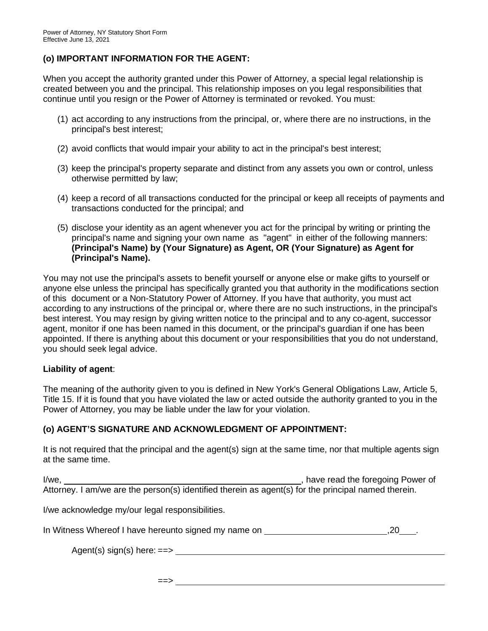### **(o) IMPORTANT INFORMATION FOR THE AGENT:**

When you accept the authority granted under this Power of Attorney, a special legal relationship is created between you and the principal. This relationship imposes on you legal responsibilities that continue until you resign or the Power of Attorney is terminated or revoked. You must:

- (1) act according to any instructions from the principal, or, where there are no instructions, in the principal's best interest;
- (2) avoid conflicts that would impair your ability to act in the principal's best interest;
- (3) keep the principal's property separate and distinct from any assets you own or control, unless otherwise permitted by law;
- (4) keep a record of all transactions conducted for the principal or keep all receipts of payments and transactions conducted for the principal; and
- (5) disclose your identity as an agent whenever you act for the principal by writing or printing the principal's name and signing your own name as "agent" in either of the following manners: **(Principal's Name) by (Your Signature) as Agent, OR (Your Signature) as Agent for (Principal's Name).**

You may not use the principal's assets to benefit yourself or anyone else or make gifts to yourself or anyone else unless the principal has specifically granted you that authority in the modifications section of this document or a Non-Statutory Power of Attorney. If you have that authority, you must act according to any instructions of the principal or, where there are no such instructions, in the principal's best interest. You may resign by giving written notice to the principal and to any co-agent, successor agent, monitor if one has been named in this document, or the principal's guardian if one has been appointed. If there is anything about this document or your responsibilities that you do not understand, you should seek legal advice.

#### **Liability of agent**:

The meaning of the authority given to you is defined in New York's General Obligations Law, Article 5, Title 15. If it is found that you have violated the law or acted outside the authority granted to you in the Power of Attorney, you may be liable under the law for your violation.

#### **(o) AGENT'S SIGNATURE AND ACKNOWLEDGMENT OF APPOINTMENT:**

It is not required that the principal and the agent(s) sign at the same time, nor that multiple agents sign at the same time.

I/we,  $\blacksquare$ Attorney. I am/we are the person(s) identified therein as agent(s) for the principal named therein.

I/we acknowledge my/our legal responsibilities.

In Witness Whereof I have hereunto signed my name on **contained** the matter of the state of the state of the state of the state of the state of the state of the state of the state of the state of the state of the state of

Agent(s) sign(s) here: ==>

==>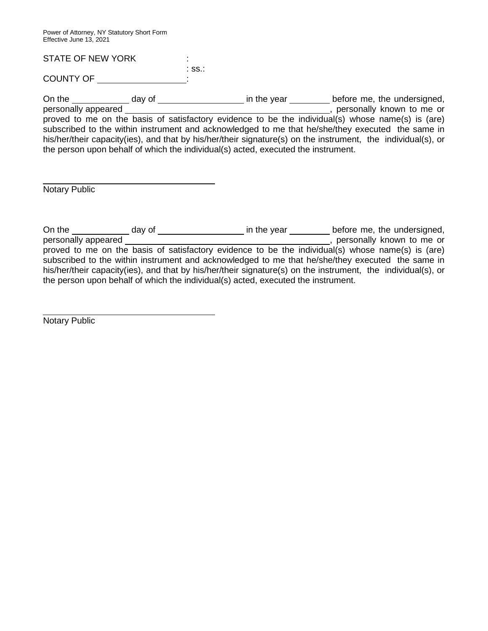Power of Attorney, NY Statutory Short Form Effective June 13, 2021

| STATE OF NEW YORK |                   |
|-------------------|-------------------|
|                   | $\therefore$ SS.: |
| COUNTY OF         |                   |

On the \_\_\_\_\_\_\_\_\_\_\_\_ day of \_\_\_\_\_\_\_\_\_\_\_\_\_\_\_\_\_\_ in the year \_\_\_\_\_\_\_\_\_ before me, the undersigned, personally appeared **on the contract of the contract of the contract of the contract of the contract of the contract of the contract of the contract of the contract of the contract of the contract of the contract of the co** proved to me on the basis of satisfactory evidence to be the individual(s) whose name(s) is (are) subscribed to the within instrument and acknowledged to me that he/she/they executed the same in his/her/their capacity(ies), and that by his/her/their signature(s) on the instrument, the individual(s), or the person upon behalf of which the individual(s) acted, executed the instrument.

Notary Public

On the <u>same of the day of the day of the year setting</u> before me, the undersigned, personally appeared , personally known to me or proved to me on the basis of satisfactory evidence to be the individual(s) whose name(s) is (are) subscribed to the within instrument and acknowledged to me that he/she/they executed the same in his/her/their capacity(ies), and that by his/her/their signature(s) on the instrument, the individual(s), or the person upon behalf of which the individual(s) acted, executed the instrument.

Notary Public